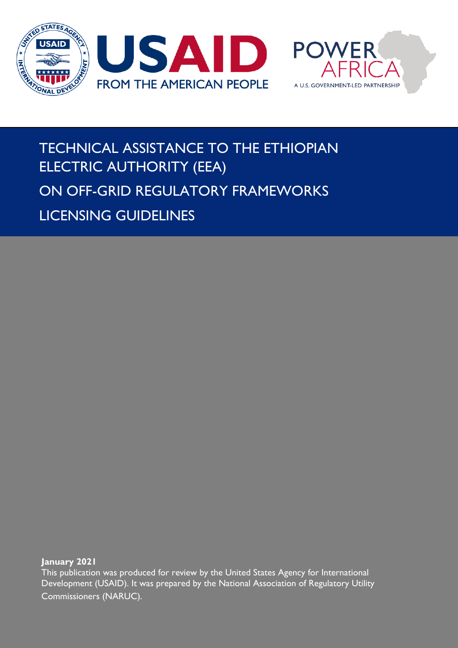

## TECHNICAL ASSISTANCE TO THE ETHIOPIAN ELECTRIC AUTHORITY (EEA) ON OFF-GRID REGULATORY FRAMEWORKS LICENSING GUIDELINES

**January 2021**

This publication was produced for review by the United States Agency for International Development (USAID). It was prepared by the National Association of Regulatory Utility Commissioners (NARUC).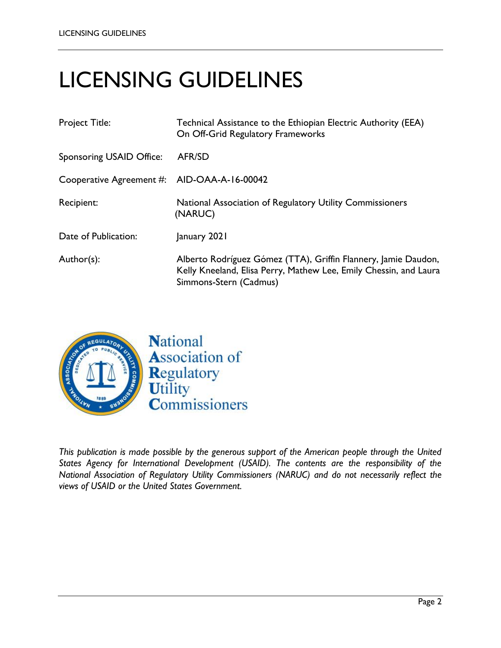# LICENSING GUIDELINES

| <b>Project Title:</b>                       | Technical Assistance to the Ethiopian Electric Authority (EEA)<br>On Off-Grid Regulatory Frameworks                                                           |
|---------------------------------------------|---------------------------------------------------------------------------------------------------------------------------------------------------------------|
| Sponsoring USAID Office:                    | <b>AFR/SD</b>                                                                                                                                                 |
| Cooperative Agreement #: AID-OAA-A-16-00042 |                                                                                                                                                               |
| Recipient:                                  | National Association of Regulatory Utility Commissioners<br>(NARUC)                                                                                           |
| Date of Publication:                        | January 2021                                                                                                                                                  |
| Author(s):                                  | Alberto Rodríguez Gómez (TTA), Griffin Flannery, Jamie Daudon,<br>Kelly Kneeland, Elisa Perry, Mathew Lee, Emily Chessin, and Laura<br>Simmons-Stern (Cadmus) |



*This publication is made possible by the generous support of the American people through the United States Agency for International Development (USAID). The contents are the responsibility of the National Association of Regulatory Utility Commissioners (NARUC) and do not necessarily reflect the views of USAID or the United States Government.*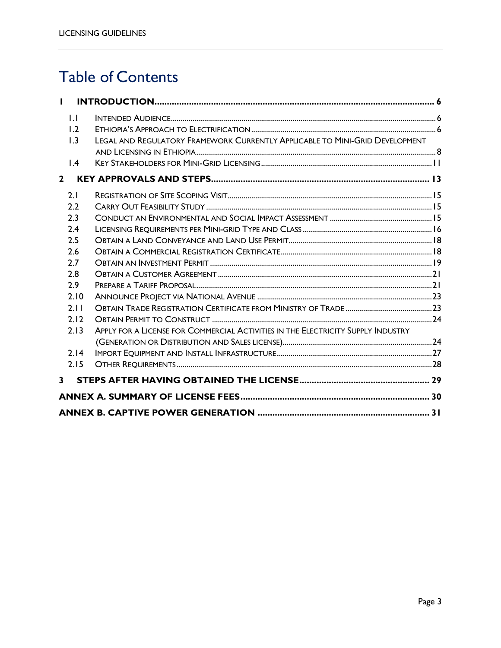## Table of Contents

|              | $\mathsf{L}$    |                                                                                  |  |
|--------------|-----------------|----------------------------------------------------------------------------------|--|
|              | 1.2             |                                                                                  |  |
|              | 1.3             | LEGAL AND REGULATORY FRAMEWORK CURRENTLY APPLICABLE TO MINI-GRID DEVELOPMENT     |  |
|              | $\mathsf{I}$ .4 |                                                                                  |  |
| $\mathbf{2}$ |                 |                                                                                  |  |
| 2.1          |                 |                                                                                  |  |
|              | 2.2             |                                                                                  |  |
|              | 2.3             |                                                                                  |  |
|              | 2.4             |                                                                                  |  |
|              | 2.5             |                                                                                  |  |
|              | 2.6             |                                                                                  |  |
|              | 2.7             |                                                                                  |  |
|              | 2.8             |                                                                                  |  |
|              | 2.9             |                                                                                  |  |
|              | 2.10            |                                                                                  |  |
|              | 2.11            |                                                                                  |  |
|              | 2.12            |                                                                                  |  |
|              | 2.13            | APPLY FOR A LICENSE FOR COMMERCIAL ACTIVITIES IN THE ELECTRICITY SUPPLY INDUSTRY |  |
|              |                 |                                                                                  |  |
|              | 2.14            |                                                                                  |  |
|              | 2.15            |                                                                                  |  |
| 3            |                 |                                                                                  |  |
|              |                 |                                                                                  |  |
|              |                 |                                                                                  |  |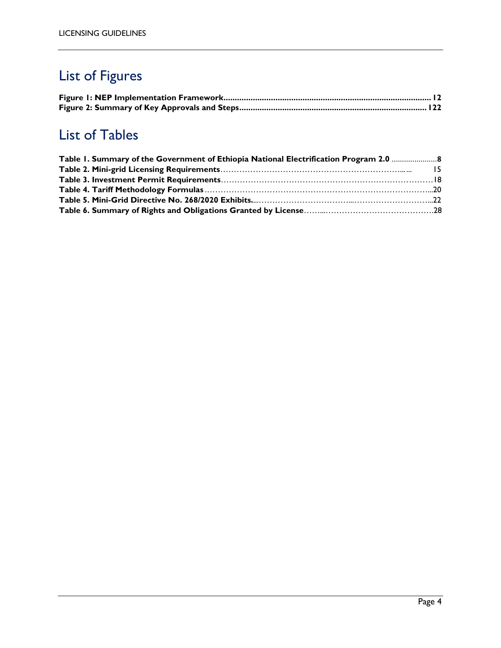## List of Figures

## List of Tables

| Table 1. Summary of the Government of Ethiopia National Electrification Program 2.0 |  |
|-------------------------------------------------------------------------------------|--|
|                                                                                     |  |
|                                                                                     |  |
|                                                                                     |  |
|                                                                                     |  |
|                                                                                     |  |
|                                                                                     |  |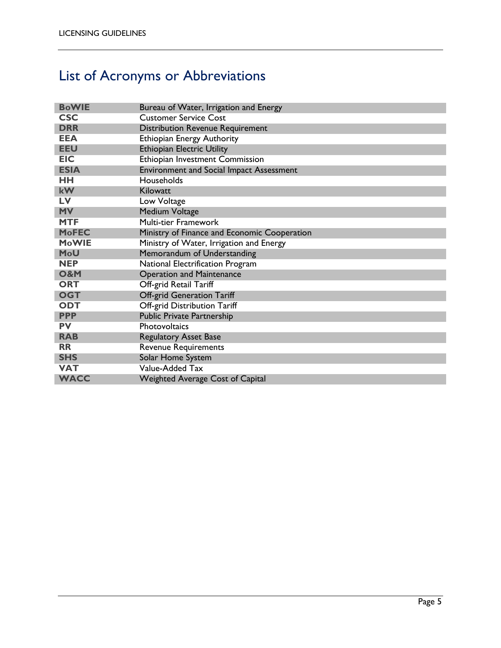## List of Acronyms or Abbreviations

| <b>BoWIE</b>   | Bureau of Water, Irrigation and Energy          |
|----------------|-------------------------------------------------|
| <b>CSC</b>     | <b>Customer Service Cost</b>                    |
| <b>DRR</b>     | <b>Distribution Revenue Requirement</b>         |
| <b>EEA</b>     | <b>Ethiopian Energy Authority</b>               |
| <b>EEU</b>     | <b>Ethiopian Electric Utility</b>               |
| <b>EIC</b>     | Ethiopian Investment Commission                 |
| <b>ESIA</b>    | <b>Environment and Social Impact Assessment</b> |
| HH             | Households                                      |
| <b>kW</b>      | Kilowatt                                        |
| LV             | Low Voltage                                     |
| <b>MV</b>      | Medium Voltage                                  |
| <b>MTF</b>     | Multi-tier Framework                            |
| <b>MoFEC</b>   | Ministry of Finance and Economic Cooperation    |
| <b>MoWIE</b>   | Ministry of Water, Irrigation and Energy        |
| <b>MoU</b>     | Memorandum of Understanding                     |
| <b>NEP</b>     | National Electrification Program                |
| <b>O&amp;M</b> | <b>Operation and Maintenance</b>                |
| <b>ORT</b>     | Off-grid Retail Tariff                          |
| <b>OGT</b>     | <b>Off-grid Generation Tariff</b>               |
| <b>ODT</b>     | Off-grid Distribution Tariff                    |
| <b>PPP</b>     | <b>Public Private Partnership</b>               |
| <b>PV</b>      | Photovoltaics                                   |
| <b>RAB</b>     | <b>Regulatory Asset Base</b>                    |
| <b>RR</b>      | <b>Revenue Requirements</b>                     |
| <b>SHS</b>     | Solar Home System                               |
| <b>VAT</b>     | Value-Added Tax                                 |
| <b>WACC</b>    | <b>Weighted Average Cost of Capital</b>         |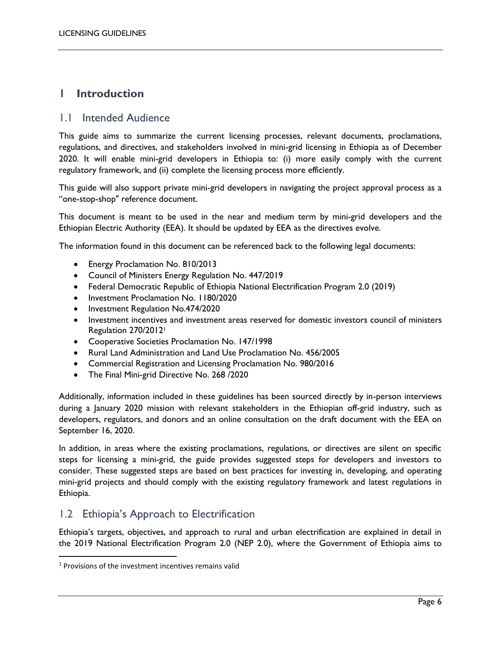### <span id="page-5-0"></span>**1 Introduction**

#### <span id="page-5-1"></span>1.1 Intended Audience

This guide aims to summarize the current licensing processes, relevant documents, proclamations, regulations, and directives, and stakeholders involved in mini-grid licensing in Ethiopia as of December 2020. It will enable mini-grid developers in Ethiopia to: (i) more easily comply with the current regulatory framework, and (ii) complete the licensing process more efficiently.

This guide will also support private mini-grid developers in navigating the project approval process as a "one-stop-shop" reference document.

This document is meant to be used in the near and medium term by mini-grid developers and the Ethiopian Electric Authority (EEA). It should be updated by EEA as the directives evolve.

The information found in this document can be referenced back to the following legal documents:

- Energy Proclamation No. 810/2013
- Council of Ministers Energy Regulation No. 447/2019
- Federal Democratic Republic of Ethiopia National Electrification Program 2.0 (2019)
- Investment Proclamation No. 1180/2020
- Investment Regulation No.474/2020
- Investment incentives and investment areas reserved for domestic investors council of ministers Regulation 270/2012<sup>1</sup>
- Cooperative Societies Proclamation No. 147/1998
- Rural Land Administration and Land Use Proclamation No. 456/2005
- Commercial Registration and Licensing Proclamation No. 980/2016
- The Final Mini-grid Directive No. 268 /2020

Additionally, information included in these guidelines has been sourced directly by in-person interviews during a January 2020 mission with relevant stakeholders in the Ethiopian off-grid industry, such as developers, regulators, and donors and an online consultation on the draft document with the EEA on September 16, 2020.

In addition, in areas where the existing proclamations, regulations, or directives are silent on specific steps for licensing a mini-grid, the guide provides suggested steps for developers and investors to consider. These suggested steps are based on best practices for investing in, developing, and operating mini-grid projects and should comply with the existing regulatory framework and latest regulations in Ethiopia.

#### <span id="page-5-2"></span>1.2 Ethiopia's Approach to Electrification

Ethiopia's targets, objectives, and approach to rural and urban electrification are explained in detail in the 2019 National Electrification Program 2.0 (NEP 2.0), where the Government of Ethiopia aims to

 $\overline{a}$ 

<sup>&</sup>lt;sup>1</sup> Provisions of the investment incentives remains valid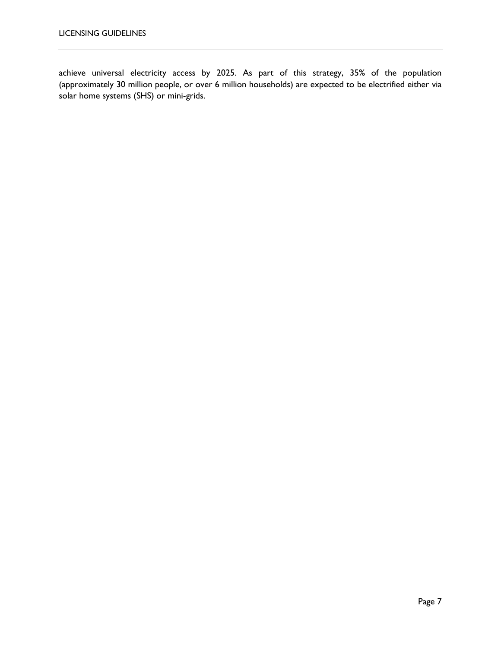achieve universal electricity access by 2025. As part of this strategy, 35% of the population (approximately 30 million people, or over 6 million households) are expected to be electrified either via solar home systems (SHS) or mini-grids.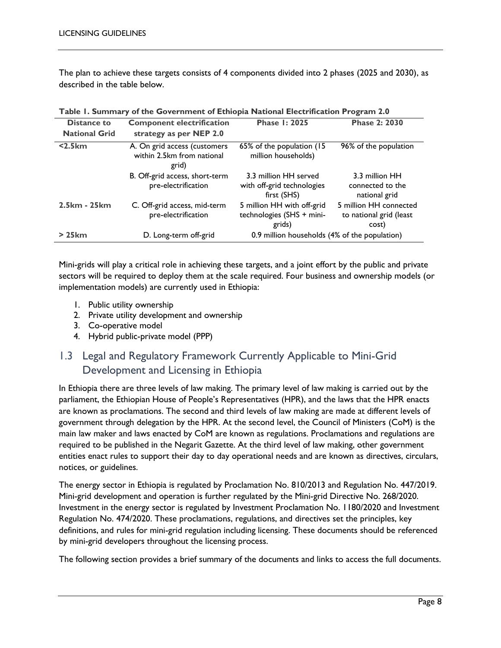The plan to achieve these targets consists of 4 components divided into 2 phases (2025 and 2030), as described in the table below.

| Distance to          | <b>Component electrification</b>                                    | <b>Phase 1: 2025</b>                                               | <b>Phase 2: 2030</b>                                       |
|----------------------|---------------------------------------------------------------------|--------------------------------------------------------------------|------------------------------------------------------------|
| <b>National Grid</b> | strategy as per NEP 2.0                                             |                                                                    |                                                            |
| $<$ 2.5 $km$         | A. On grid access (customers<br>within 2.5km from national<br>grid) | 65% of the population (15)<br>million households)                  | 96% of the population                                      |
|                      | B. Off-grid access, short-term<br>pre-electrification               | 3.3 million HH served<br>with off-grid technologies<br>first (SHS) | 3.3 million HH<br>connected to the<br>national grid        |
| 2.5km - 25km         | C. Off-grid access, mid-term<br>pre-electrification                 | 5 million HH with off-grid<br>technologies (SHS + mini-<br>grids)  | 5 million HH connected<br>to national grid (least<br>cost) |
| >25km                | D. Long-term off-grid                                               | 0.9 million households (4% of the population)                      |                                                            |

<span id="page-7-1"></span>

|  |  |  | Table I. Summary of the Government of Ethiopia National Electrification Program 2.0 |
|--|--|--|-------------------------------------------------------------------------------------|
|--|--|--|-------------------------------------------------------------------------------------|

Mini-grids will play a critical role in achieving these targets, and a joint effort by the public and private sectors will be required to deploy them at the scale required. Four business and ownership models (or implementation models) are currently used in Ethiopia:

- 1. Public utility ownership
- 2. Private utility development and ownership
- 3. Co-operative model
- 4. Hybrid public-private model (PPP)

### <span id="page-7-0"></span>1.3 Legal and Regulatory Framework Currently Applicable to Mini-Grid Development and Licensing in Ethiopia

In Ethiopia there are three levels of law making. The primary level of law making is carried out by the parliament, the Ethiopian House of People's Representatives (HPR), and the laws that the HPR enacts are known as proclamations. The second and third levels of law making are made at different levels of government through delegation by the HPR. At the second level, the Council of Ministers (CoM) is the main law maker and laws enacted by CoM are known as regulations. Proclamations and regulations are required to be published in the Negarit Gazette. At the third level of law making, other government entities enact rules to support their day to day operational needs and are known as directives, circulars, notices, or guidelines.

The energy sector in Ethiopia is regulated by Proclamation No. 810/2013 and Regulation No. 447/2019. Mini-grid development and operation is further regulated by the Mini-grid Directive No. 268/2020. Investment in the energy sector is regulated by Investment Proclamation No. 1180/2020 and Investment Regulation No. 474/2020. These proclamations, regulations, and directives set the principles, key definitions, and rules for mini-grid regulation including licensing. These documents should be referenced by mini-grid developers throughout the licensing process.

The following section provides a brief summary of the documents and links to access the full documents.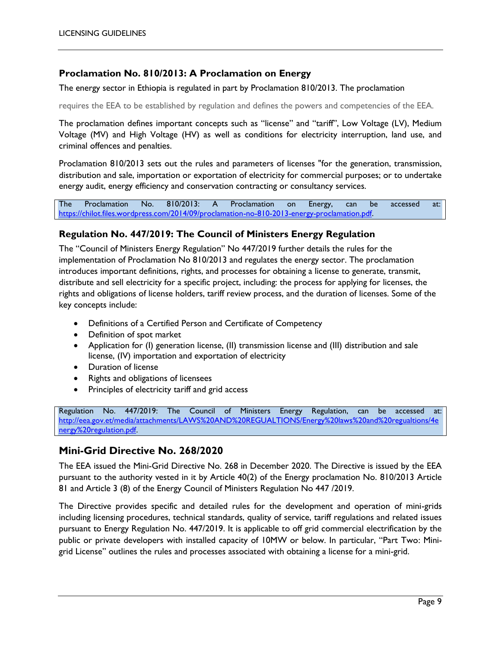#### **Proclamation No. 810/2013: A Proclamation on Energy**

The energy sector in Ethiopia is regulated in part by Proclamation 810/2013. The proclamation

requires the EEA to be established by regulation and defines the powers and competencies of the EEA.

The proclamation defines important concepts such as "license" and "tariff", Low Voltage (LV), Medium Voltage (MV) and High Voltage (HV) as well as conditions for electricity interruption, land use, and criminal offences and penalties.

Proclamation 810/2013 sets out the rules and parameters of licenses "for the generation, transmission, distribution and sale, importation or exportation of electricity for commercial purposes; or to undertake energy audit, energy efficiency and conservation contracting or consultancy services.

The Proclamation No. 810/2013: A Proclamation on Energy, can be accessed at: [https://chilot.files.wordpress.com/2014/09/proclamation-no-810-2013-energy-proclamation.pdf.](https://chilot.files.wordpress.com/2014/09/proclamation-no-810-2013-energy-proclamation.pdf) 

#### **Regulation No. 447/2019: The Council of Ministers Energy Regulation**

The "Council of Ministers Energy Regulation" No 447/2019 further details the rules for the implementation of Proclamation No 810/2013 and regulates the energy sector. The proclamation introduces important definitions, rights, and processes for obtaining a license to generate, transmit, distribute and sell electricity for a specific project, including: the process for applying for licenses, the rights and obligations of license holders, tariff review process, and the duration of licenses. Some of the key concepts include:

- Definitions of a Certified Person and Certificate of Competency
- Definition of spot market
- Application for (I) generation license, (II) transmission license and (III) distribution and sale license, (IV) importation and exportation of electricity
- Duration of license
- Rights and obligations of licensees
- Principles of electricity tariff and grid access

Regulation No. 447/2019: The Council of Ministers Energy Regulation, can be accessed at: [http://eea.gov.et/media/attachments/LAWS%20AND%20REGUALTIONS/Energy%20laws%20and%20regualtions/4e](http://eea.gov.et/media/attachments/LAWS%20AND%20REGUALTIONS/Energy%20laws%20and%20regualtions/4energy%20regulation.pdf) [nergy%20regulation.pdf.](http://eea.gov.et/media/attachments/LAWS%20AND%20REGUALTIONS/Energy%20laws%20and%20regualtions/4energy%20regulation.pdf)

#### **Mini-Grid Directive No. 268/2020**

The EEA issued the Mini-Grid Directive No. 268 in December 2020. The Directive is issued by the EEA pursuant to the authority vested in it by Article 40(2) of the Energy proclamation No. 810/2013 Article 81 and Article 3 (8) of the Energy Council of Ministers Regulation No 447 /2019.

The Directive provides specific and detailed rules for the development and operation of mini-grids including licensing procedures, technical standards, quality of service, tariff regulations and related issues pursuant to Energy Regulation No. 447/2019. It is applicable to off grid commercial electrification by the public or private developers with installed capacity of 10MW or below. In particular, "Part Two: Minigrid License" outlines the rules and processes associated with obtaining a license for a mini-grid.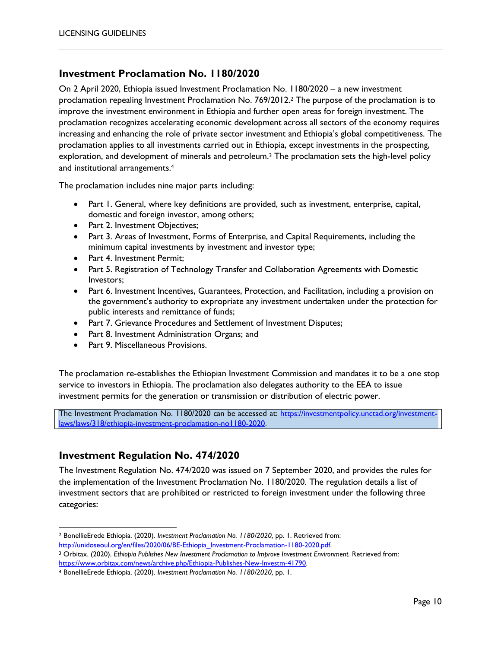#### **Investment Proclamation No. 1180/2020**

On 2 April 2020, Ethiopia issued Investment Proclamation No. 1180/2020 – a new investment proclamation repealing Investment Proclamation No. 769/2012.<sup>2</sup> The purpose of the proclamation is to improve the investment environment in Ethiopia and further open areas for foreign investment. The proclamation recognizes accelerating economic development across all sectors of the economy requires increasing and enhancing the role of private sector investment and Ethiopia's global competitiveness. The proclamation applies to all investments carried out in Ethiopia, except investments in the prospecting, exploration, and development of minerals and petroleum.<sup>3</sup> The proclamation sets the high-level policy and institutional arrangements.<sup>4</sup>

The proclamation includes nine major parts including:

- Part 1. General, where key definitions are provided, such as investment, enterprise, capital, domestic and foreign investor, among others;
- Part 2. Investment Objectives;
- Part 3. Areas of Investment, Forms of Enterprise, and Capital Requirements, including the minimum capital investments by investment and investor type;
- Part 4. Investment Permit;
- Part 5. Registration of Technology Transfer and Collaboration Agreements with Domestic Investors;
- Part 6. Investment Incentives, Guarantees, Protection, and Facilitation, including a provision on the government's authority to expropriate any investment undertaken under the protection for public interests and remittance of funds;
- Part 7. Grievance Procedures and Settlement of Investment Disputes;
- Part 8. Investment Administration Organs; and
- Part 9. Miscellaneous Provisions.

The proclamation re-establishes the Ethiopian Investment Commission and mandates it to be a one stop service to investors in Ethiopia. The proclamation also delegates authority to the EEA to issue investment permits for the generation or transmission or distribution of electric power.

The Investment Proclamation No. 1180/2020 can be accessed at: [https://investmentpolicy.unctad.org/investment](https://investmentpolicy.unctad.org/investment-laws/laws/318/ethiopia-investment-proclamation-no1180-2020)[laws/laws/318/ethiopia-investment-proclamation-no1180-2020.](https://investmentpolicy.unctad.org/investment-laws/laws/318/ethiopia-investment-proclamation-no1180-2020)

#### **Investment Regulation No. 474/2020**

l

The Investment Regulation No. 474/2020 was issued on 7 September 2020, and provides the rules for the implementation of the Investment Proclamation No. 1180/2020. The regulation details a list of investment sectors that are prohibited or restricted to foreign investment under the following three categories:

<sup>2</sup> BonellieErede Ethiopia. (2020). *Investment Proclamation No. 1180/2020,* pp. 1. Retrieved from: http://unidoseoul.org/en/files/2020/06/BE-Ethiopia\_Investment-Proclamation-1180-2020.pdf.

<sup>3</sup> Orbitax. (2020). *Ethiopia Publishes New Investment Proclamation to Improve Investment Environment.* Retrieved from: [https://www.orbitax.com/news/archive.php/Ethiopia-Publishes-New-Investm-41790.](https://www.orbitax.com/news/archive.php/Ethiopia-Publishes-New-Investm-41790)

<sup>4</sup> BonellieErede Ethiopia. (2020). *Investment Proclamation No. 1180/2020,* pp. 1.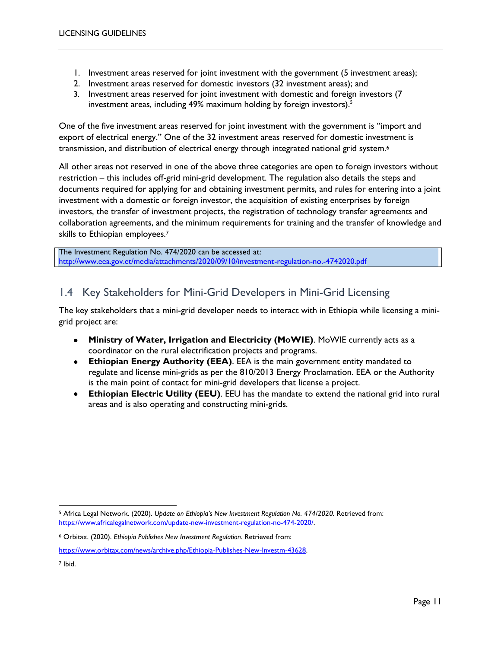- 1. Investment areas reserved for joint investment with the government (5 investment areas);
- 2. Investment areas reserved for domestic investors (32 investment areas); and
- 3. Investment areas reserved for joint investment with domestic and foreign investors (7 investment areas, including 49% maximum holding by foreign investors).<sup>5</sup>

One of the five investment areas reserved for joint investment with the government is "import and export of electrical energy." One of the 32 investment areas reserved for domestic investment is transmission, and distribution of electrical energy through integrated national grid system.<sup>6</sup>

All other areas not reserved in one of the above three categories are open to foreign investors without restriction – this includes off-grid mini-grid development. The regulation also details the steps and documents required for applying for and obtaining investment permits, and rules for entering into a joint investment with a domestic or foreign investor, the acquisition of existing enterprises by foreign investors, the transfer of investment projects, the registration of technology transfer agreements and collaboration agreements, and the minimum requirements for training and the transfer of knowledge and skills to Ethiopian employees.<sup>7</sup>

The Investment Regulation No. 474/2020 can be accessed at: <http://www.eea.gov.et/media/attachments/2020/09/10/investment-regulation-no.-4742020.pdf>

### <span id="page-10-0"></span>1.4 Key Stakeholders for Mini-Grid Developers in Mini-Grid Licensing

The key stakeholders that a mini-grid developer needs to interact with in Ethiopia while licensing a minigrid project are:

- **Ministry of Water, Irrigation and Electricity (MoWIE)**. MoWIE currently acts as a coordinator on the rural electrification projects and programs.
- **Ethiopian Energy Authority (EEA)**. EEA is the main government entity mandated to regulate and license mini-grids as per the 810/2013 Energy Proclamation. EEA or the Authority is the main point of contact for mini-grid developers that license a project.
- **Ethiopian Electric Utility (EEU)**. EEU has the mandate to extend the national grid into rural areas and is also operating and constructing mini-grids.

l <sup>5</sup> Africa Legal Network. (2020). *Update on Ethiopia's New Investment Regulation No. 474/2020.* Retrieved from: [https://www.africalegalnetwork.com/update-new-investment-regulation-no-474-2020/.](https://www.africalegalnetwork.com/update-new-investment-regulation-no-474-2020/)

<sup>6</sup> Orbitax. (2020). *Ethiopia Publishes New Investment Regulation.* Retrieved from:

[https://www.orbitax.com/news/archive.php/Ethiopia-Publishes-New-Investm-43628.](https://www.orbitax.com/news/archive.php/Ethiopia-Publishes-New-Investm-43628)

<sup>7</sup> Ibid.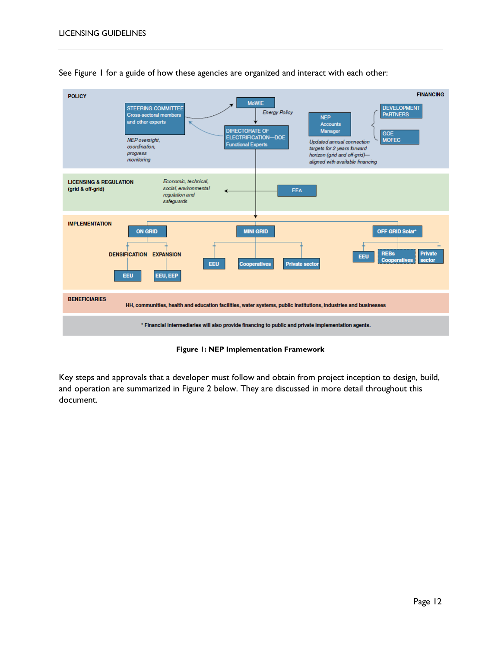

See Figure 1 for a guide of how these agencies are organized and interact with each other:

**Figure 1: NEP Implementation Framework**

<span id="page-11-0"></span>Key steps and approvals that a developer must follow and obtain from project inception to design, build, and operation are summarized in Figure 2 below. They are discussed in more detail throughout this document.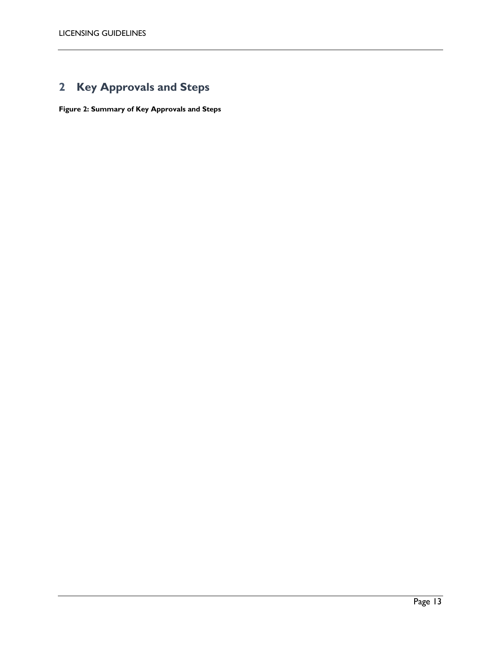## <span id="page-12-0"></span>**2 Key Approvals and Steps**

**Figure 2: Summary of Key Approvals and Steps**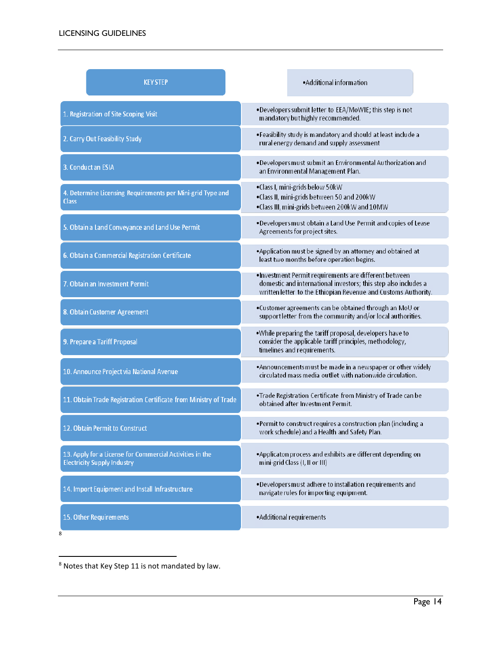| <b>KEY STEP</b>                                                                                | • Additional information                                                                                                                                                                   |
|------------------------------------------------------------------------------------------------|--------------------------------------------------------------------------------------------------------------------------------------------------------------------------------------------|
| 1. Registration of Site Scoping Visit                                                          | .Developers submit letter to EEA/MoWIE; this step is not<br>mandatory but highly recommended.                                                                                              |
| 2. Carry Out Feasibility Study                                                                 | . Feasibility study is mandatory and should at least include a<br>rural energy demand and supply assessment                                                                                |
| 3. Conduct an ESIA                                                                             | . Developers must submit an Environmental Authorization and<br>an Environmental Management Plan.                                                                                           |
| 4. Determine Licensing Requirements per Mini-grid Type and<br><b>Class</b>                     | •Class I, mini-grids below 50kW<br>•Class II, mini-grids between 50 and 200kW<br>.Class III, mini-grids between 200kW and 10MW                                                             |
| 5. Obtain a Land Conveyance and Land Use Permit                                                | .Developers must obtain a Land Use Permit and copies of Lease<br>Agreements for project sites.                                                                                             |
| 6. Obtain a Commercial Registration Certificate                                                | *Application must be signed by an attorney and obtained at<br>least two months before operation begins.                                                                                    |
| 7. Obtain an Investment Permit                                                                 | •Investment Permit requirements are different between<br>domestic and international investors; this step also includes a<br>written letter to the Ethiopian Revenue and Customs Authority. |
| 8. Obtain Customer Agreement                                                                   | .Customer agreements can be obtained through an MoU or<br>support letter from the community and/or local authorities.                                                                      |
| 9. Prepare a Tariff Proposal                                                                   | .While preparing the tariff proposal, developers have to<br>consider the applicable tariff principles, methodology,<br>timelines and requirements.                                         |
| 10. Announce Project via National Avenue                                                       | *Announcements must be made in a newspaper or other widely<br>circulated mass media outllet with nationwide circulation.                                                                   |
| 11. Obtain Trade Registration Certificate from Ministry of Trade                               | .Trade Registration Certificate from Ministry of Trade can be<br>obtained after Investment Permit.                                                                                         |
| 12. Obtain Permit to Construct                                                                 | .Permit to construct requires a construction plan (including a<br>work schedule) and a Health and Safety Plan.                                                                             |
| 13. Apply for a License for Commercial Activities in the<br><b>Electricity Supply Industry</b> | *Applicaton process and exhibits are different depending on<br>mini-grid Class (I, II or III)                                                                                              |
| 14. Import Equipment and Install Infrastructure                                                | . Developers must adhere to installation requirements and<br>navigate rules for importing equipment.                                                                                       |
| 15. Other Requirements<br>8                                                                    | • Additional requirements                                                                                                                                                                  |

 $8$  Notes that Key Step 11 is not mandated by law.

 $\overline{a}$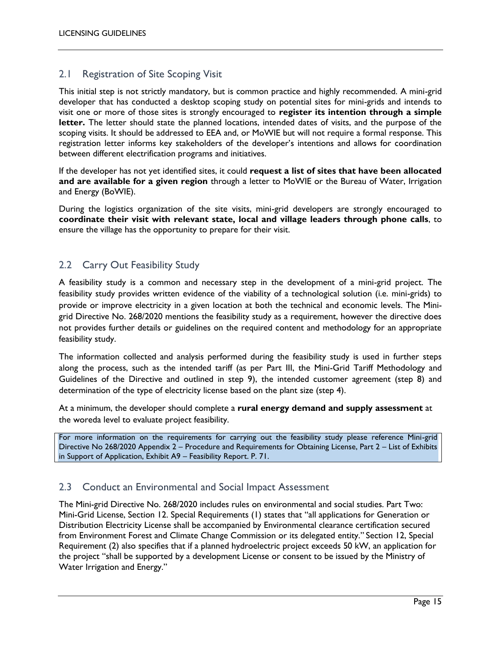#### <span id="page-14-0"></span>2.1 Registration of Site Scoping Visit

This initial step is not strictly mandatory, but is common practice and highly recommended. A mini-grid developer that has conducted a desktop scoping study on potential sites for mini-grids and intends to visit one or more of those sites is strongly encouraged to **register its intention through a simple letter.** The letter should state the planned locations, intended dates of visits, and the purpose of the scoping visits. It should be addressed to EEA and, or MoWIE but will not require a formal response. This registration letter informs key stakeholders of the developer's intentions and allows for coordination between different electrification programs and initiatives.

If the developer has not yet identified sites, it could **request a list of sites that have been allocated and are available for a given region** through a letter to MoWIE or the Bureau of Water, Irrigation and Energy (BoWIE).

During the logistics organization of the site visits, mini-grid developers are strongly encouraged to **coordinate their visit with relevant state, local and village leaders through phone calls**, to ensure the village has the opportunity to prepare for their visit.

#### <span id="page-14-1"></span>2.2 Carry Out Feasibility Study

A feasibility study is a common and necessary step in the development of a mini-grid project. The feasibility study provides written evidence of the viability of a technological solution (i.e. mini-grids) to provide or improve electricity in a given location at both the technical and economic levels. The Minigrid Directive No. 268/2020 mentions the feasibility study as a requirement, however the directive does not provides further details or guidelines on the required content and methodology for an appropriate feasibility study.

The information collected and analysis performed during the feasibility study is used in further steps along the process, such as the intended tariff (as per Part III, the Mini-Grid Tariff Methodology and Guidelines of the Directive and outlined in step 9), the intended customer agreement (step 8) and determination of the type of electricity license based on the plant size (step 4).

At a minimum, the developer should complete a **rural energy demand and supply assessment** at the woreda level to evaluate project feasibility.

For more information on the requirements for carrying out the feasibility study please reference Mini-grid Directive No 268/2020 Appendix 2 – Procedure and Requirements for Obtaining License, Part 2 – List of Exhibits in Support of Application, Exhibit A9 – Feasibility Report. P. 71.

#### <span id="page-14-2"></span>2.3 Conduct an Environmental and Social Impact Assessment

The Mini-grid Directive No. 268/2020 includes rules on environmental and social studies. Part Two: Mini-Grid License, Section 12. Special Requirements (1) states that "all applications for Generation or Distribution Electricity License shall be accompanied by Environmental clearance certification secured from Environment Forest and Climate Change Commission or its delegated entity." Section 12, Special Requirement (2) also specifies that if a planned hydroelectric project exceeds 50 kW, an application for the project "shall be supported by a development License or consent to be issued by the Ministry of Water Irrigation and Energy."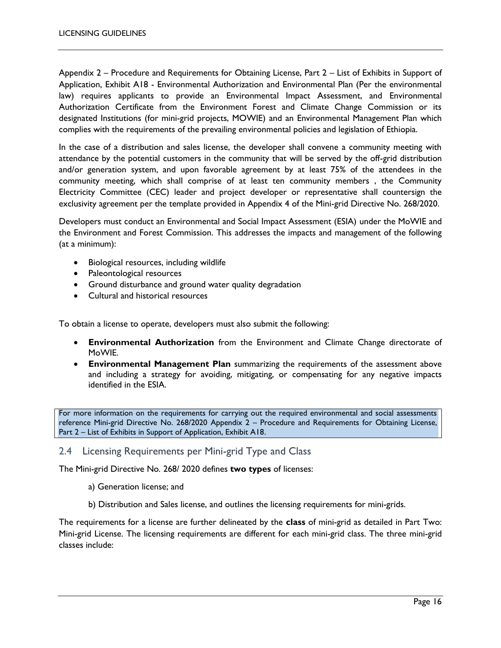Appendix 2 – Procedure and Requirements for Obtaining License, Part 2 – List of Exhibits in Support of Application, Exhibit A18 - Environmental Authorization and Environmental Plan (Per the environmental law) requires applicants to provide an Environmental Impact Assessment, and Environmental Authorization Certificate from the Environment Forest and Climate Change Commission or its designated Institutions (for mini-grid projects, MOWIE) and an Environmental Management Plan which complies with the requirements of the prevailing environmental policies and legislation of Ethiopia.

In the case of a distribution and sales license, the developer shall convene a community meeting with attendance by the potential customers in the community that will be served by the off-grid distribution and/or generation system, and upon favorable agreement by at least 75% of the attendees in the community meeting, which shall comprise of at least ten community members , the Community Electricity Committee (CEC) leader and project developer or representative shall countersign the exclusivity agreement per the template provided in Appendix 4 of the Mini-grid Directive No. 268/2020.

Developers must conduct an Environmental and Social Impact Assessment (ESIA) under the MoWIE and the Environment and Forest Commission. This addresses the impacts and management of the following (at a minimum):

- Biological resources, including wildlife
- Paleontological resources
- Ground disturbance and ground water quality degradation
- Cultural and historical resources

To obtain a license to operate, developers must also submit the following:

- **Environmental Authorization** from the Environment and Climate Change directorate of MoWIE.
- **Environmental Management Plan** summarizing the requirements of the assessment above and including a strategy for avoiding, mitigating, or compensating for any negative impacts identified in the ESIA.

For more information on the requirements for carrying out the required environmental and social assessments reference Mini-grid Directive No. 268/2020 Appendix 2 – Procedure and Requirements for Obtaining License, Part 2 – List of Exhibits in Support of Application, Exhibit A18.

#### <span id="page-15-0"></span>2.4 Licensing Requirements per Mini-grid Type and Class

The Mini-grid Directive No. 268/ 2020 defines **two types** of licenses:

- a) Generation license; and
- b) Distribution and Sales license, and outlines the licensing requirements for mini-grids.

The requirements for a license are further delineated by the **class** of mini-grid as detailed in Part Two: Mini-grid License. The licensing requirements are different for each mini-grid class. The three mini-grid classes include: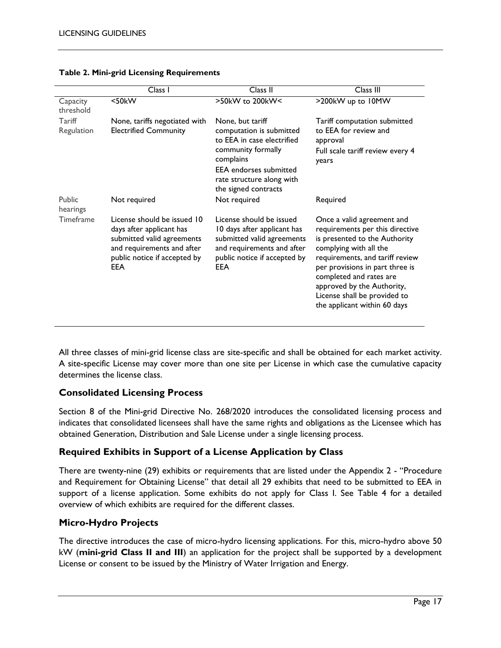|                       | Class I                                                                                                                                                           | $\overline{\text{Class}}$ II                                                                                                                                                                        | Class III                                                                                                                                                                                                                                                                                                               |
|-----------------------|-------------------------------------------------------------------------------------------------------------------------------------------------------------------|-----------------------------------------------------------------------------------------------------------------------------------------------------------------------------------------------------|-------------------------------------------------------------------------------------------------------------------------------------------------------------------------------------------------------------------------------------------------------------------------------------------------------------------------|
| Capacity<br>threshold | $<$ 50 $k$ W                                                                                                                                                      | $>50$ kW to 200kW<                                                                                                                                                                                  | >200kW up to 10MW                                                                                                                                                                                                                                                                                                       |
| Tariff<br>Regulation  | None, tariffs negotiated with<br><b>Electrified Community</b>                                                                                                     | None, but tariff<br>computation is submitted<br>to EEA in case electrified<br>community formally<br>complains<br><b>EEA</b> endorses submitted<br>rate structure along with<br>the signed contracts | Tariff computation submitted<br>to EEA for review and<br>approval<br>Full scale tariff review every 4<br>years                                                                                                                                                                                                          |
| Public<br>hearings    | Not required                                                                                                                                                      | Not required                                                                                                                                                                                        | Required                                                                                                                                                                                                                                                                                                                |
| <b>Timeframe</b>      | License should be issued 10<br>days after applicant has<br>submitted valid agreements<br>and requirements and after<br>public notice if accepted by<br><b>EEA</b> | License should be issued<br>10 days after applicant has<br>submitted valid agreements<br>and requirements and after<br>public notice if accepted by<br><b>EEA</b>                                   | Once a valid agreement and<br>requirements per this directive<br>is presented to the Authority<br>complying with all the<br>requirements, and tariff review<br>per provisions in part three is<br>completed and rates are<br>approved by the Authority,<br>License shall be provided to<br>the applicant within 60 days |

#### **Table 2. Mini-grid Licensing Requirements**

All three classes of mini-grid license class are site-specific and shall be obtained for each market activity. A site-specific License may cover more than one site per License in which case the cumulative capacity determines the license class.

#### **Consolidated Licensing Process**

Section 8 of the Mini-grid Directive No. 268/2020 introduces the consolidated licensing process and indicates that consolidated licensees shall have the same rights and obligations as the Licensee which has obtained Generation, Distribution and Sale License under a single licensing process.

#### **Required Exhibits in Support of a License Application by Class**

There are twenty-nine (29) exhibits or requirements that are listed under the Appendix 2 - "Procedure and Requirement for Obtaining License" that detail all 29 exhibits that need to be submitted to EEA in support of a license application. Some exhibits do not apply for Class I. See Table 4 for a detailed overview of which exhibits are required for the different classes.

#### **Micro-Hydro Projects**

The directive introduces the case of micro-hydro licensing applications. For this, micro-hydro above 50 kW (**mini-grid Class II and III**) an application for the project shall be supported by a development License or consent to be issued by the Ministry of Water Irrigation and Energy.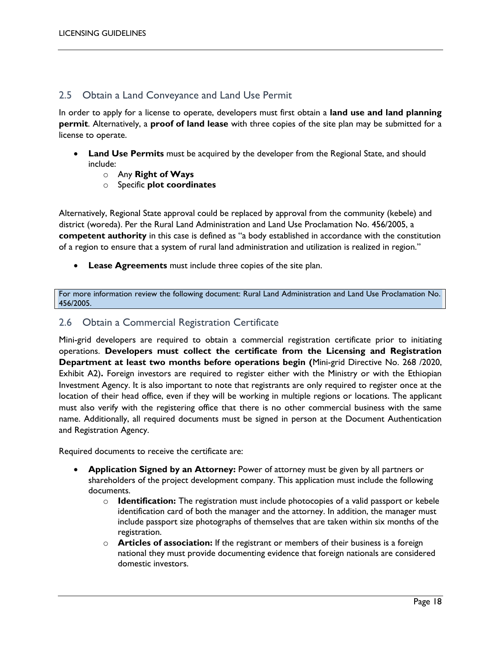#### <span id="page-17-0"></span>2.5 Obtain a Land Conveyance and Land Use Permit

In order to apply for a license to operate, developers must first obtain a **land use and land planning permit**. Alternatively, a **proof of land lease** with three copies of the site plan may be submitted for a license to operate.

- **Land Use Permits** must be acquired by the developer from the Regional State, and should include:
	- o Any **Right of Ways**
	- o Specific **plot coordinates**

Alternatively, Regional State approval could be replaced by approval from the community (kebele) and district (woreda). Per the Rural Land Administration and Land Use Proclamation No. 456/2005, a **competent authority** in this case is defined as "a body established in accordance with the constitution of a region to ensure that a system of rural land administration and utilization is realized in region."

**Lease Agreements** must include three copies of the site plan.

For more information review the following document: Rural Land Administration and Land Use Proclamation No. 456/2005.

#### <span id="page-17-1"></span>2.6 Obtain a Commercial Registration Certificate

Mini-grid developers are required to obtain a commercial registration certificate prior to initiating operations. **Developers must collect the certificate from the Licensing and Registration Department at least two months before operations begin (**Mini-grid Directive No. 268 /2020, Exhibit A2)**.** Foreign investors are required to register either with the Ministry or with the Ethiopian Investment Agency. It is also important to note that registrants are only required to register once at the location of their head office, even if they will be working in multiple regions or locations. The applicant must also verify with the registering office that there is no other commercial business with the same name. Additionally, all required documents must be signed in person at the Document Authentication and Registration Agency.

Required documents to receive the certificate are:

- **Application Signed by an Attorney:** Power of attorney must be given by all partners or shareholders of the project development company. This application must include the following documents.
	- o **Identification:** The registration must include photocopies of a valid passport or kebele identification card of both the manager and the attorney. In addition, the manager must include passport size photographs of themselves that are taken within six months of the registration.
	- o **Articles of association:** If the registrant or members of their business is a foreign national they must provide documenting evidence that foreign nationals are considered domestic investors.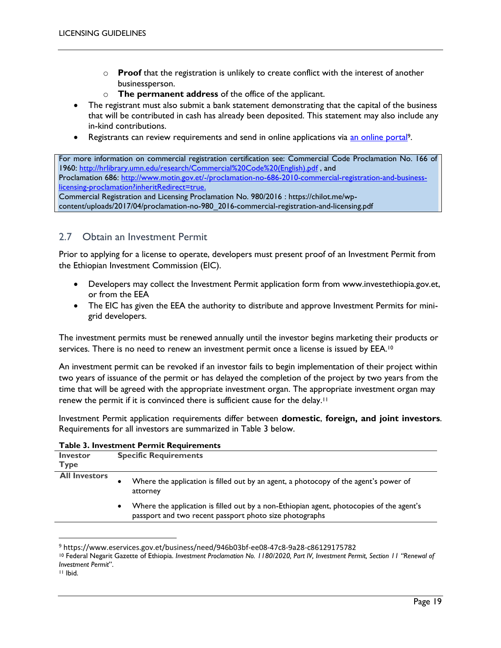- o **Proof** that the registration is unlikely to create conflict with the interest of another businessperson.
- o **The permanent address** of the office of the applicant.
- The registrant must also submit a bank statement demonstrating that the capital of the business that will be contributed in cash has already been deposited. This statement may also include any in-kind contributions.
- Registrants can review requirements and send in online applications via [an online portal](https://www.eservices.gov.et/business/need/946b03bf-ee08-47c8-9a28-c86129175782)9.

For more information on commercial registration certification see: Commercial Code Proclamation No. 166 of 1960: [http://hrlibrary.umn.edu/research/Commercial%20Code%20\(English\).pdf](http://hrlibrary.umn.edu/research/Commercial%20Code%20(English).pdf) , and Proclamation 686: [http://www.motin.gov.et/-/proclamation-no-686-2010-commercial-registration-and-business](http://www.motin.gov.et/-/proclamation-no-686-2010-commercial-registration-and-business-licensing-proclamation?inheritRedirect=true.)[licensing-proclamation?inheritRedirect=true.](http://www.motin.gov.et/-/proclamation-no-686-2010-commercial-registration-and-business-licensing-proclamation?inheritRedirect=true.) Commercial Registration and Licensing Proclamation No. 980/2016 : https://chilot.me/wp-

content/uploads/2017/04/proclamation-no-980\_2016-commercial-registration-and-licensing.pdf

#### <span id="page-18-0"></span>2.7 Obtain an Investment Permit

Prior to applying for a license to operate, developers must present proof of an Investment Permit from the Ethiopian Investment Commission (EIC).

- Developers may collect the Investment Permit application form from www.investethiopia.gov.et, or from the EEA
- The EIC has given the EEA the authority to distribute and approve Investment Permits for minigrid developers.

The investment permits must be renewed annually until the investor begins marketing their products or services. There is no need to renew an investment permit once a license is issued by EEA.<sup>10</sup>

An investment permit can be revoked if an investor fails to begin implementation of their project within two years of issuance of the permit or has delayed the completion of the project by two years from the time that will be agreed with the appropriate investment organ. The appropriate investment organ may renew the permit if it is convinced there is sufficient cause for the delay.<sup>11</sup>

Investment Permit application requirements differ between **domestic**, **foreign, and joint investors**. Requirements for all investors are summarized in Table 3 below.

| <b>Investor</b><br>Type | <b>Specific Requirements</b>                                                                                                                             |
|-------------------------|----------------------------------------------------------------------------------------------------------------------------------------------------------|
| <b>All Investors</b>    | Where the application is filled out by an agent, a photocopy of the agent's power of<br>٠<br>attorney                                                    |
|                         | Where the application is filled out by a non-Ethiopian agent, photocopies of the agent's<br>٠<br>passport and two recent passport photo size photographs |

#### **Table 3. Investment Permit Requirements**

 $\overline{\phantom{a}}$ 

<sup>9</sup> https://www.eservices.gov.et/business/need/946b03bf-ee08-47c8-9a28-c86129175782

<sup>10</sup> Federal Negarit Gazette of Ethiopia. *Investment Proclamation No. 1180/2020, Part IV, Investment Permit, Section 11 "Renewal of Investment Permit*".

<sup>11</sup> Ibid.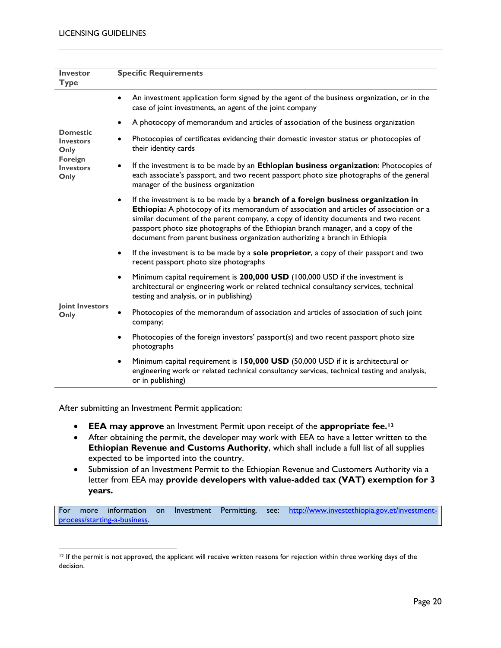| <b>Investor</b><br><b>Type</b>              | <b>Specific Requirements</b>                                                                                                                                                                                                                                                                                                                                                                                                                          |
|---------------------------------------------|-------------------------------------------------------------------------------------------------------------------------------------------------------------------------------------------------------------------------------------------------------------------------------------------------------------------------------------------------------------------------------------------------------------------------------------------------------|
|                                             | An investment application form signed by the agent of the business organization, or in the<br>$\bullet$<br>case of joint investments, an agent of the joint company                                                                                                                                                                                                                                                                                   |
|                                             | A photocopy of memorandum and articles of association of the business organization<br>$\bullet$                                                                                                                                                                                                                                                                                                                                                       |
| <b>Domestic</b><br><b>Investors</b><br>Only | Photocopies of certificates evidencing their domestic investor status or photocopies of<br>$\bullet$<br>their identity cards                                                                                                                                                                                                                                                                                                                          |
| Foreign<br><b>Investors</b><br>Only         | If the investment is to be made by an Ethiopian business organization: Photocopies of<br>$\bullet$<br>each associate's passport, and two recent passport photo size photographs of the general<br>manager of the business organization                                                                                                                                                                                                                |
|                                             | If the investment is to be made by a branch of a foreign business organization in<br>$\bullet$<br>Ethiopia: A photocopy of its memorandum of association and articles of association or a<br>similar document of the parent company, a copy of identity documents and two recent<br>passport photo size photographs of the Ethiopian branch manager, and a copy of the<br>document from parent business organization authorizing a branch in Ethiopia |
|                                             | If the investment is to be made by a sole proprietor, a copy of their passport and two<br>$\bullet$<br>recent passport photo size photographs                                                                                                                                                                                                                                                                                                         |
| Joint Investors<br>Only                     | Minimum capital requirement is 200,000 USD (100,000 USD if the investment is<br>$\bullet$<br>architectural or engineering work or related technical consultancy services, technical<br>testing and analysis, or in publishing)                                                                                                                                                                                                                        |
|                                             | Photocopies of the memorandum of association and articles of association of such joint<br>company;                                                                                                                                                                                                                                                                                                                                                    |
|                                             | Photocopies of the foreign investors' passport(s) and two recent passport photo size<br>$\bullet$<br>photographs                                                                                                                                                                                                                                                                                                                                      |
|                                             | Minimum capital requirement is 150,000 USD (50,000 USD if it is architectural or<br>$\bullet$<br>engineering work or related technical consultancy services, technical testing and analysis,<br>or in publishing)                                                                                                                                                                                                                                     |

After submitting an Investment Permit application:

- **EEA may approve** an Investment Permit upon receipt of the **appropriate fee.<sup>12</sup>**
- After obtaining the permit, the developer may work with EEA to have a letter written to the **Ethiopian Revenue and Customs Authority**, which shall include a full list of all supplies expected to be imported into the country.
- Submission of an Investment Permit to the Ethiopian Revenue and Customers Authority via a letter from EEA may **provide developers with value-added tax (VAT) exemption for 3 years.**

For more information on Investment Permitting, see: [http://www.investethiopia.gov.et/investment](http://www.investethiopia.gov.et/investment-process/starting-a-business)[process/starting-a-business.](http://www.investethiopia.gov.et/investment-process/starting-a-business) 

 $\overline{a}$  $12$  If the permit is not approved, the applicant will receive written reasons for rejection within three working days of the decision.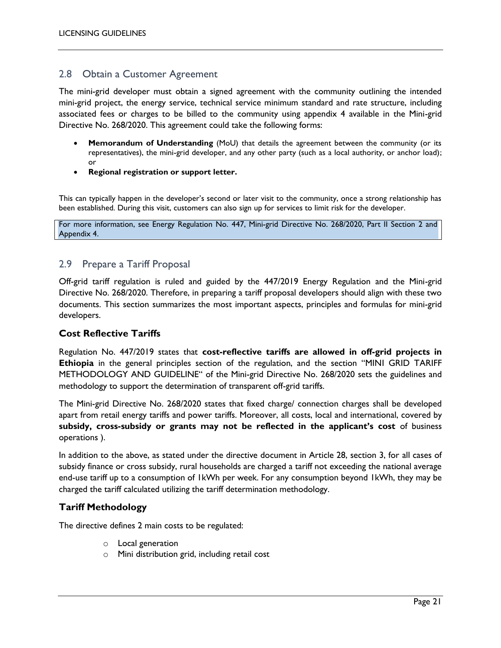#### <span id="page-20-0"></span>2.8 Obtain a Customer Agreement

The mini-grid developer must obtain a signed agreement with the community outlining the intended mini-grid project, the energy service, technical service minimum standard and rate structure, including associated fees or charges to be billed to the community using appendix 4 available in the Mini-grid Directive No. 268/2020. This agreement could take the following forms:

- **Memorandum of Understanding** (MoU) that details the agreement between the community (or its representatives), the mini-grid developer, and any other party (such as a local authority, or anchor load); or
- **Regional registration or support letter.**

This can typically happen in the developer's second or later visit to the community, once a strong relationship has been established. During this visit, customers can also sign up for services to limit risk for the developer.

For more information, see Energy Regulation No. [447,](https://cadmus.sharepoint.com/sites/CP1410-EXT/EthiopiaOGRF/Shared%20Documents/Task%204%20Draft%20Resources/Licensing%20Guidelines/447) Mini-grid Directive No. 268/2020, Part II Section 2 and Appendix 4.

#### <span id="page-20-1"></span>2.9 Prepare a Tariff Proposal

Off-grid tariff regulation is ruled and guided by the 447/2019 Energy Regulation and the Mini-grid Directive No. 268/2020. Therefore, in preparing a tariff proposal developers should align with these two documents. This section summarizes the most important aspects, principles and formulas for mini-grid developers.

#### **Cost Reflective Tariffs**

Regulation No. 447/2019 states that **cost-reflective tariffs are allowed in off-grid projects in Ethiopia** in the general principles section of the regulation, and the section "MINI GRID TARIFF METHODOLOGY AND GUIDELINE" of the Mini-grid Directive No. 268/2020 sets the guidelines and methodology to support the determination of transparent off-grid tariffs.

The Mini-grid Directive No. 268/2020 states that fixed charge/ connection charges shall be developed apart from retail energy tariffs and power tariffs. Moreover, all costs, local and international, covered by **subsidy, cross-subsidy or grants may not be reflected in the applicant's cost** of business operations ).

In addition to the above, as stated under the directive document in Article 28, section 3, for all cases of subsidy finance or cross subsidy, rural households are charged a tariff not exceeding the national average end-use tariff up to a consumption of 1kWh per week. For any consumption beyond 1kWh, they may be charged the tariff calculated utilizing the tariff determination methodology.

#### **Tariff Methodology**

The directive defines 2 main costs to be regulated:

- o Local generation
- o Mini distribution grid, including retail cost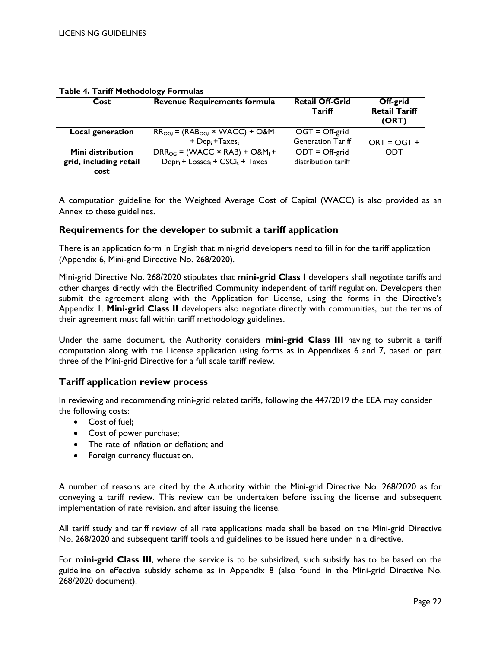| Cost                                                       | <b>Revenue Requirements formula</b>                                                      | <b>Retail Off-Grid</b><br><b>Tariff</b>      | Off-grid<br><b>Retail Tariff</b><br>(ORT) |
|------------------------------------------------------------|------------------------------------------------------------------------------------------|----------------------------------------------|-------------------------------------------|
| Local generation                                           | $RR_{OG,i}$ = ( $RAB_{OG,i}$ × WACC) + O&M <sub>i</sub><br>+ $Depi$ + Taxes <sub>t</sub> | $OGT = Off-grid$<br><b>Generation Tariff</b> | $ORT = OGT +$                             |
| <b>Mini distribution</b><br>grid, including retail<br>cost | $DRR_{OG}$ = (WACC × RAB) + O&M <sub>i</sub> +<br>$Dep_i + Losses_i + CSCi_t + Taxes$    | $ODT = Off-grid$<br>distribution tariff      | ODT                                       |

#### **Table 4. Tariff Methodology Formulas**

A computation guideline for the Weighted Average Cost of Capital (WACC) is also provided as an Annex to these guidelines.

#### **Requirements for the developer to submit a tariff application**

There is an application form in English that mini-grid developers need to fill in for the tariff application (Appendix 6, Mini-grid Directive No. 268/2020).

Mini-grid Directive No. 268/2020 stipulates that **mini-grid Class I** developers shall negotiate tariffs and other charges directly with the Electrified Community independent of tariff regulation. Developers then submit the agreement along with the Application for License, using the forms in the Directive's Appendix 1. **Mini-grid Class II** developers also negotiate directly with communities, but the terms of their agreement must fall within tariff methodology guidelines.

Under the same document, the Authority considers **mini-grid Class III** having to submit a tariff computation along with the License application using forms as in Appendixes 6 and 7, based on part three of the Mini-grid Directive for a full scale tariff review.

#### **Tariff application review process**

In reviewing and recommending mini-grid related tariffs, following the 447/2019 the EEA may consider the following costs:

- Cost of fuel;
- Cost of power purchase;
- The rate of inflation or deflation; and
- Foreign currency fluctuation.

A number of reasons are cited by the Authority within the Mini-grid Directive No. 268/2020 as for conveying a tariff review. This review can be undertaken before issuing the license and subsequent implementation of rate revision, and after issuing the license.

All tariff study and tariff review of all rate applications made shall be based on the Mini-grid Directive No. 268/2020 and subsequent tariff tools and guidelines to be issued here under in a directive.

For **mini-grid Class III**, where the service is to be subsidized, such subsidy has to be based on the guideline on effective subsidy scheme as in Appendix 8 (also found in the Mini-grid Directive No. 268/2020 document).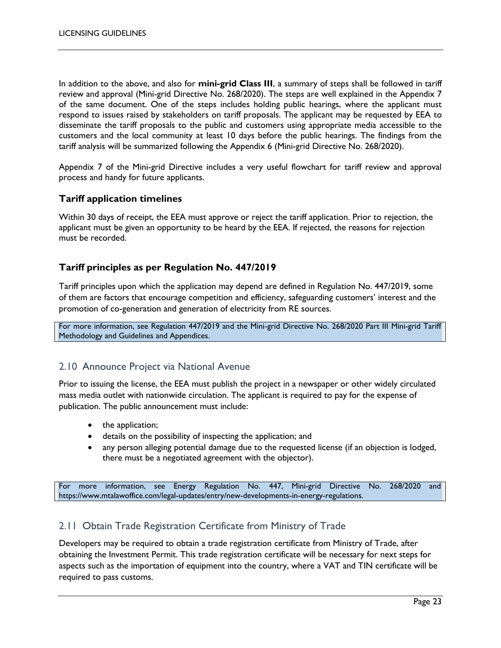In addition to the above, and also for **mini-grid Class III**, a summary of steps shall be followed in tariff review and approval (Mini-grid Directive No. 268/2020). The steps are well explained in the Appendix 7 of the same document. One of the steps includes holding public hearings, where the applicant must respond to issues raised by stakeholders on tariff proposals. The applicant may be requested by EEA to disseminate the tariff proposals to the public and customers using appropriate media accessible to the customers and the local community at least 10 days before the public hearings. The findings from the tariff analysis will be summarized following the Appendix 6 (Mini-grid Directive No. 268/2020).

Appendix 7 of the Mini-grid Directive includes a very useful flowchart for tariff review and approval process and handy for future applicants.

#### **Tariff application timelines**

Within 30 days of receipt, the EEA must approve or reject the tariff application. Prior to rejection, the applicant must be given an opportunity to be heard by the EEA. If rejected, the reasons for rejection must be recorded.

#### **Tariff principles as per Regulation No. 447/2019**

Tariff principles upon which the application may depend are defined in Regulation No. 447/2019, some of them are factors that encourage competition and efficiency, safeguarding customers' interest and the promotion of co-generation and generation of electricity from RE sources.

For more information, see Regulation 447/2019 and the Mini-grid Directive No. 268/2020 Part III Mini-grid Tariff Methodology and Guidelines and Appendices.

#### <span id="page-22-0"></span>2.10 Announce Project via National Avenue

Prior to issuing the license, the EEA must publish the project in a newspaper or other widely circulated mass media outlet with nationwide circulation. The applicant is required to pay for the expense of publication. The public announcement must include:

- the application;
- details on the possibility of inspecting the application; and
- any person alleging potential damage due to the requested license (if an objection is lodged, there must be a negotiated agreement with the objector).

For more information, see Energy Regulation No. [447,](https://cadmus.sharepoint.com/sites/CP1410-EXT/EthiopiaOGRF/Shared%20Documents/Task%204%20Draft%20Resources/Licensing%20Guidelines/447) Mini-grid Directive No. 268/2020 and [https://www.mtalawoffice.com/legal-updates/entry/new-developments-in-energy-regulations.](https://www.mtalawoffice.com/legal-updates/entry/new-developments-in-energy-regulations)

#### <span id="page-22-1"></span>2.11 Obtain Trade Registration Certificate from Ministry of Trade

Developers may be required to obtain a trade registration certificate from Ministry of Trade, after obtaining the Investment Permit. This trade registration certificate will be necessary for next steps for aspects such as the importation of equipment into the country, where a VAT and TIN certificate will be required to pass customs.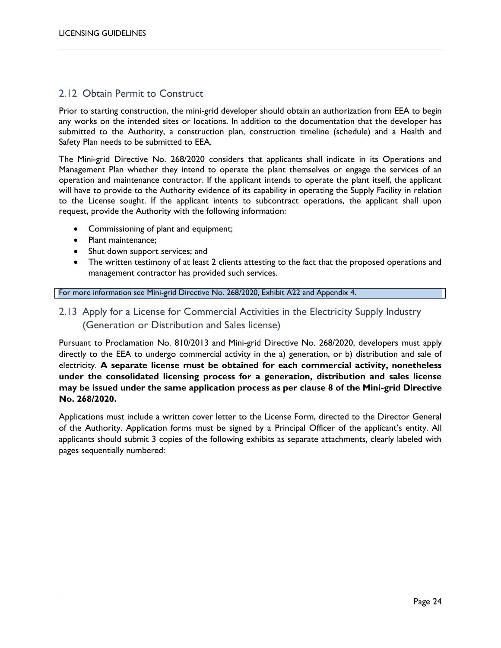#### <span id="page-23-0"></span>2.12 Obtain Permit to Construct

Prior to starting construction, the mini-grid developer should obtain an authorization from EEA to begin any works on the intended sites or locations. In addition to the documentation that the developer has submitted to the Authority, a construction plan, construction timeline (schedule) and a Health and Safety Plan needs to be submitted to EEA.

The Mini-grid Directive No. 268/2020 considers that applicants shall indicate in its Operations and Management Plan whether they intend to operate the plant themselves or engage the services of an operation and maintenance contractor. If the applicant intends to operate the plant itself, the applicant will have to provide to the Authority evidence of its capability in operating the Supply Facility in relation to the License sought. If the applicant intents to subcontract operations, the applicant shall upon request, provide the Authority with the following information:

- Commissioning of plant and equipment;
- Plant maintenance:
- Shut down support services; and
- The written testimony of at least 2 clients attesting to the fact that the proposed operations and management contractor has provided such services.

#### For more information see Mini-grid Directive No. 268/2020, Exhibit A22 and Appendix 4.

### <span id="page-23-1"></span>2.13 Apply for a License for Commercial Activities in the Electricity Supply Industry (Generation or Distribution and Sales license)

Pursuant to Proclamation No. 810/2013 and Mini-grid Directive No. 268/2020, developers must apply directly to the EEA to undergo commercial activity in the a) generation, or b) distribution and sale of electricity. **A separate license must be obtained for each commercial activity, nonetheless under the consolidated licensing process for a generation, distribution and sales license may be issued under the same application process as per clause 8 of the Mini-grid Directive No. 268/2020.** 

Applications must include a written cover letter to the License Form, directed to the Director General of the Authority. Application forms must be signed by a Principal Officer of the applicant's entity. All applicants should submit 3 copies of the following exhibits as separate attachments, clearly labeled with pages sequentially numbered: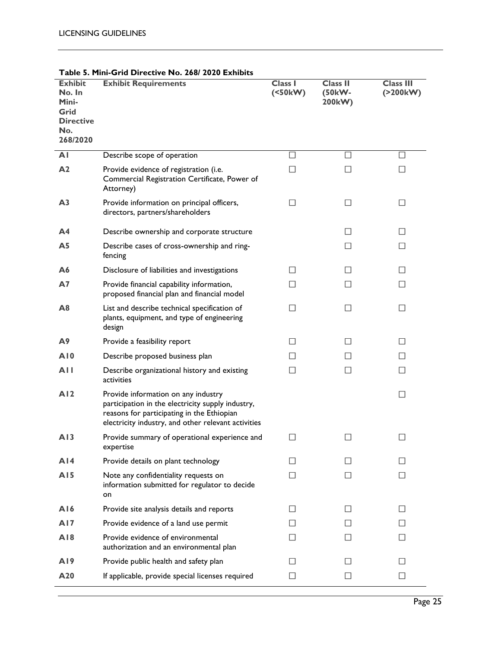| <b>Exhibit</b><br>No. In<br>Mini-<br>Grid<br><b>Directive</b><br>No.<br>268/2020 | 31 IU DII CLUVE 190. ZUU ZUZU LAHIDILS<br><b>Exhibit Requirements</b>                                                                                                                         | Class I<br>(50kW) | <b>Class II</b><br>(50kW-<br>200kW) | <b>Class III</b><br>(200kW) |
|----------------------------------------------------------------------------------|-----------------------------------------------------------------------------------------------------------------------------------------------------------------------------------------------|-------------------|-------------------------------------|-----------------------------|
| AI                                                                               | Describe scope of operation                                                                                                                                                                   |                   |                                     |                             |
| A <sub>2</sub>                                                                   | Provide evidence of registration (i.e.<br>Commercial Registration Certificate, Power of<br>Attorney)                                                                                          | П                 | $\mathsf{L}$                        | $\Box$                      |
| A <sub>3</sub>                                                                   | Provide information on principal officers,<br>directors, partners/shareholders                                                                                                                | □                 | ப                                   | □                           |
| A4                                                                               | Describe ownership and corporate structure                                                                                                                                                    |                   | Ш                                   | □                           |
| A <sub>5</sub>                                                                   | Describe cases of cross-ownership and ring-<br>fencing                                                                                                                                        |                   | $\Box$                              | $\Box$                      |
| Α6                                                                               | Disclosure of liabilities and investigations                                                                                                                                                  | П                 | П                                   | $\Box$                      |
| <b>A7</b>                                                                        | Provide financial capability information,<br>proposed financial plan and financial model                                                                                                      | $\Box$            | $\Box$                              | $\Box$                      |
| A8                                                                               | List and describe technical specification of<br>plants, equipment, and type of engineering<br>design                                                                                          | $\Box$            | □                                   | $\Box$                      |
| A9                                                                               | Provide a feasibility report                                                                                                                                                                  | □                 | Ш                                   | □                           |
| A10                                                                              | Describe proposed business plan                                                                                                                                                               | $\Box$            | $\mathsf{L}$                        | $\Box$                      |
| <b>AII</b>                                                                       | Describe organizational history and existing<br>activities                                                                                                                                    | $\Box$            | П                                   | $\Box$                      |
| AI2                                                                              | Provide information on any industry<br>participation in the electricity supply industry,<br>reasons for participating in the Ethiopian<br>electricity industry, and other relevant activities |                   |                                     | $\Box$                      |
| AI3                                                                              | Provide summary of operational experience and<br>expertise                                                                                                                                    | $\Box$            | П                                   | $\Box$                      |
| A <sub>14</sub>                                                                  | Provide details on plant technology                                                                                                                                                           | $\Box$            | $\Box$                              | П                           |
| A15                                                                              | Note any confidentiality requests on<br>information submitted for regulator to decide<br>on                                                                                                   | $\Box$            | $\Box$                              | П                           |
| A16                                                                              | Provide site analysis details and reports                                                                                                                                                     | $\Box$            | П                                   | $\mathbf{L}$                |
| AI7                                                                              | Provide evidence of a land use permit                                                                                                                                                         | $\mathsf{L}$      | $\Box$                              | $\Box$                      |
| AI8                                                                              | Provide evidence of environmental<br>authorization and an environmental plan                                                                                                                  | ΙI                | $\mathsf{L}$                        | $\Box$                      |
| A19                                                                              | Provide public health and safety plan                                                                                                                                                         | $\mathsf{L}$      | $\Box$                              | $\Box$                      |
| A20                                                                              | If applicable, provide special licenses required                                                                                                                                              | $\Box$            | $\Box$                              | $\mathcal{L}$               |

#### **Table 5. Mini-Grid Directive No. 268/ 2020 Exhibits**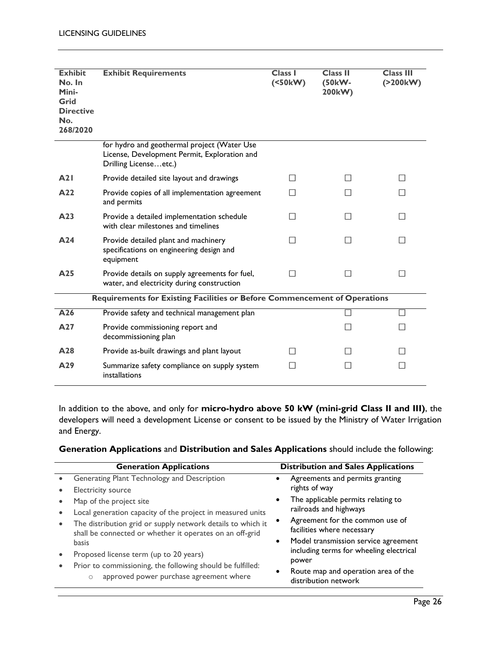| <b>Exhibit</b><br>No. In<br>Mini-<br>Grid<br><b>Directive</b><br>No.<br>268/2020 | <b>Exhibit Requirements</b>                                                                                          | <b>Class I</b><br>(50kW) | <b>Class II</b><br>(50kW-<br>200kW) | <b>Class III</b><br>(200kW) |
|----------------------------------------------------------------------------------|----------------------------------------------------------------------------------------------------------------------|--------------------------|-------------------------------------|-----------------------------|
|                                                                                  | for hydro and geothermal project (Water Use<br>License, Development Permit, Exploration and<br>Drilling Licenseetc.) |                          |                                     |                             |
| A21                                                                              | Provide detailed site layout and drawings                                                                            | П                        | $\Box$                              | П                           |
| A22                                                                              | Provide copies of all implementation agreement<br>and permits                                                        | $\overline{\phantom{a}}$ |                                     | П                           |
| A23                                                                              | Provide a detailed implementation schedule<br>with clear milestones and timelines                                    | П                        | П                                   | П                           |
| A24                                                                              | Provide detailed plant and machinery<br>specifications on engineering design and<br>equipment                        | $\mathcal{L}$            |                                     | $\Box$                      |
| A25                                                                              | Provide details on supply agreements for fuel,<br>water, and electricity during construction                         | П                        | П                                   | П                           |
|                                                                                  | Requirements for Existing Facilities or Before Commencement of Operations                                            |                          |                                     |                             |
| A26                                                                              | Provide safety and technical management plan                                                                         |                          |                                     |                             |
| A27                                                                              | Provide commissioning report and<br>decommissioning plan                                                             |                          | ΙI                                  | П                           |
| A <sub>28</sub>                                                                  | Provide as-built drawings and plant layout                                                                           | П                        | $\Box$                              | П                           |
| A29                                                                              | Summarize safety compliance on supply system<br>installations                                                        | $\Box$                   | $\Box$                              | $\Box$                      |

In addition to the above, and only for **micro-hydro above 50 kW (mini-grid Class II and III)**, the developers will need a development License or consent to be issued by the Ministry of Water Irrigation and Energy.

| Generation Applications and Distribution and Sales Applications should include the following: |
|-----------------------------------------------------------------------------------------------|
|-----------------------------------------------------------------------------------------------|

| <b>Generation Applications</b> |                                                                                                                         |           | <b>Distribution and Sales Applications</b>                                                            |  |  |
|--------------------------------|-------------------------------------------------------------------------------------------------------------------------|-----------|-------------------------------------------------------------------------------------------------------|--|--|
|                                | Generating Plant Technology and Description<br>Electricity source                                                       |           | Agreements and permits granting<br>rights of way                                                      |  |  |
|                                | Map of the project site<br>Local generation capacity of the project in measured units                                   |           | The applicable permits relating to<br>railroads and highways                                          |  |  |
|                                | The distribution grid or supply network details to which it<br>shall be connected or whether it operates on an off-grid | $\bullet$ | Agreement for the common use of<br>facilities where necessary<br>Model transmission service agreement |  |  |
|                                | basis<br>Proposed license term (up to 20 years)                                                                         |           | including terms for wheeling electrical<br>power                                                      |  |  |
|                                | Prior to commissioning, the following should be fulfilled:<br>approved power purchase agreement where<br>$\circ$        |           | Route map and operation area of the<br>distribution network                                           |  |  |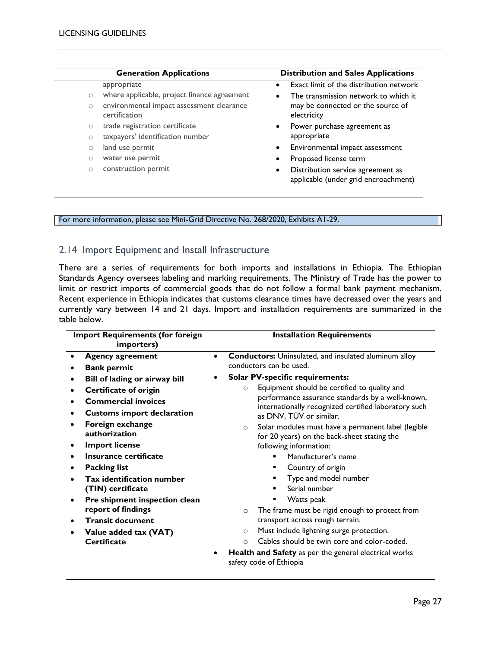|                     | <b>Generation Applications</b>                             | <b>Distribution and Sales Applications</b>                                             |  |  |
|---------------------|------------------------------------------------------------|----------------------------------------------------------------------------------------|--|--|
|                     | appropriate                                                | Exact limit of the distribution network                                                |  |  |
| $\circlearrowright$ | where applicable, project finance agreement                | The transmission network to which it                                                   |  |  |
| $\circ$             | environmental impact assessment clearance<br>certification | may be connected or the source of<br>electricity                                       |  |  |
|                     | trade registration certificate<br>$\circ$                  | Power purchase agreement as<br>$\bullet$                                               |  |  |
| $\circ$             | taxpayers' identification number                           | appropriate                                                                            |  |  |
| $\circ$             | land use permit                                            | Environmental impact assessment<br>$\bullet$                                           |  |  |
| $\circ$             | water use permit                                           | Proposed license term<br>٠                                                             |  |  |
| $\circ$             | construction permit                                        | Distribution service agreement as<br>$\bullet$<br>applicable (under grid encroachment) |  |  |

For more information, please see Mini-Grid Directive No. 268/2020, Exhibits A1-29.

#### <span id="page-26-0"></span>2.14 Import Equipment and Install Infrastructure

There are a series of requirements for both imports and installations in Ethiopia. The Ethiopian Standards Agency oversees labeling and marking requirements. The Ministry of Trade has the power to limit or restrict imports of commercial goods that do not follow a formal bank payment mechanism. Recent experience in Ethiopia indicates that customs clearance times have decreased over the years and currently vary between 14 and 21 days. Import and installation requirements are summarized in the table below.

| <b>Import Requirements (for foreign</b><br>importers) |                                                                                  |           | <b>Installation Requirements</b>                                                                              |  |  |
|-------------------------------------------------------|----------------------------------------------------------------------------------|-----------|---------------------------------------------------------------------------------------------------------------|--|--|
|                                                       | <b>Agency agreement</b><br><b>Bank permit</b>                                    | $\bullet$ | Conductors: Uninsulated, and insulated aluminum alloy<br>conductors can be used.                              |  |  |
|                                                       | Bill of lading or airway bill                                                    |           | <b>Solar PV-specific requirements:</b>                                                                        |  |  |
| ٠                                                     | <b>Certificate of origin</b>                                                     |           | Equipment should be certified to quality and<br>$\circ$                                                       |  |  |
|                                                       | <b>Commercial invoices</b>                                                       |           | performance assurance standards by a well-known,<br>internationally recognized certified laboratory such      |  |  |
|                                                       | <b>Customs import declaration</b>                                                |           | as DNV, TÜV or similar.                                                                                       |  |  |
|                                                       | Foreign exchange<br>authorization                                                |           | Solar modules must have a permanent label (legible<br>$\Omega$<br>for 20 years) on the back-sheet stating the |  |  |
|                                                       | <b>Import license</b>                                                            |           | following information:                                                                                        |  |  |
|                                                       | Insurance certificate                                                            |           | Manufacturer's name                                                                                           |  |  |
|                                                       | <b>Packing list</b>                                                              |           | Country of origin                                                                                             |  |  |
|                                                       | <b>Tax identification number</b><br>(TIN) certificate                            |           | Type and model number<br>Serial number                                                                        |  |  |
|                                                       | Pre shipment inspection clean<br>report of findings                              |           | Watts peak                                                                                                    |  |  |
|                                                       | <b>Transit document</b>                                                          |           | The frame must be rigid enough to protect from<br>$\Omega$<br>transport across rough terrain.                 |  |  |
|                                                       | Value added tax (VAT)                                                            |           | Must include lightning surge protection.<br>$\circ$                                                           |  |  |
|                                                       | <b>Certificate</b>                                                               |           | Cables should be twin core and color-coded.<br>$\Omega$                                                       |  |  |
|                                                       | Health and Safety as per the general electrical works<br>safety code of Ethiopia |           |                                                                                                               |  |  |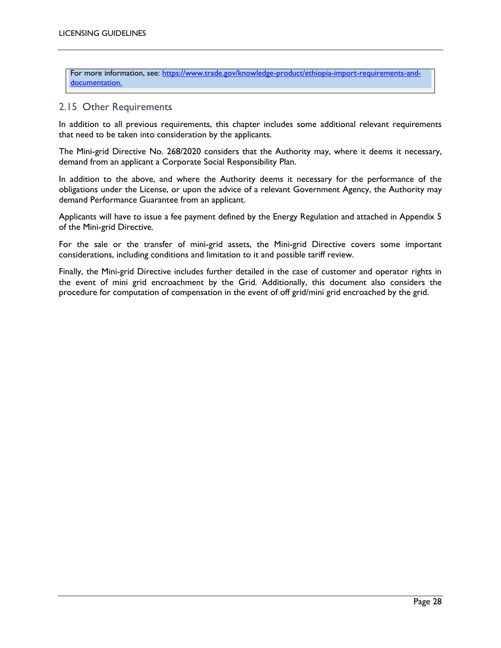For more information, see: [https://www.trade.gov/knowledge-product/ethiopia-import-requirements-and](https://www.trade.gov/knowledge-product/ethiopia-import-requirements-and-documentation)[documentation.](https://www.trade.gov/knowledge-product/ethiopia-import-requirements-and-documentation)

#### <span id="page-27-0"></span>2.15 Other Requirements

In addition to all previous requirements, this chapter includes some additional relevant requirements that need to be taken into consideration by the applicants.

The Mini-grid Directive No. 268/2020 considers that the Authority may, where it deems it necessary, demand from an applicant a Corporate Social Responsibility Plan.

In addition to the above, and where the Authority deems it necessary for the performance of the obligations under the License, or upon the advice of a relevant Government Agency, the Authority may demand Performance Guarantee from an applicant.

Applicants will have to issue a fee payment defined by the Energy Regulation and attached in Appendix 5 of the Mini-grid Directive.

For the sale or the transfer of mini-grid assets, the Mini-grid Directive covers some important considerations, including conditions and limitation to it and possible tariff review.

Finally, the Mini-grid Directive includes further detailed in the case of customer and operator rights in the event of mini grid encroachment by the Grid. Additionally, this document also considers the procedure for computation of compensation in the event of off grid/mini grid encroached by the grid.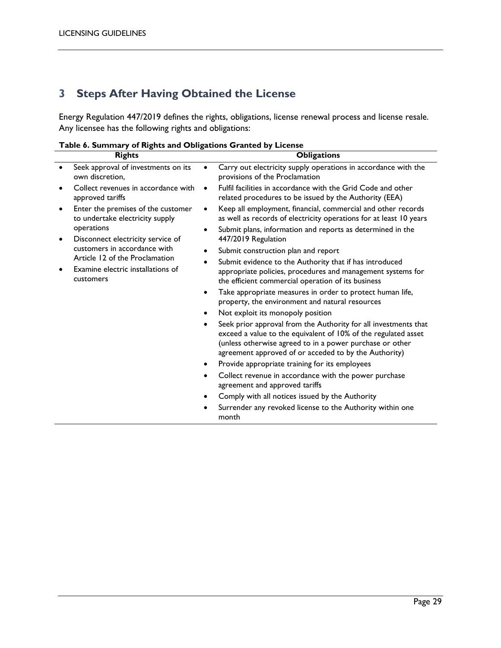## <span id="page-28-0"></span>**3 Steps After Having Obtained the License**

Energy Regulation 447/2019 defines the rights, obligations, license renewal process and license resale. Any licensee has the following rights and obligations:

|  | rable 6. Summary or hights and Obligations Granted by Litense                                                                                                       |           |                                                                                                                                                                                                                                                        |  |  |  |
|--|---------------------------------------------------------------------------------------------------------------------------------------------------------------------|-----------|--------------------------------------------------------------------------------------------------------------------------------------------------------------------------------------------------------------------------------------------------------|--|--|--|
|  | <b>Rights</b>                                                                                                                                                       |           | <b>Obligations</b>                                                                                                                                                                                                                                     |  |  |  |
|  | Seek approval of investments on its<br>own discretion.                                                                                                              | $\bullet$ | Carry out electricity supply operations in accordance with the<br>provisions of the Proclamation                                                                                                                                                       |  |  |  |
|  | Collect revenues in accordance with<br>approved tariffs                                                                                                             | $\bullet$ | Fulfil facilities in accordance with the Grid Code and other<br>related procedures to be issued by the Authority (EEA)                                                                                                                                 |  |  |  |
|  | Enter the premises of the customer<br>to undertake electricity supply                                                                                               | ٠         | Keep all employment, financial, commercial and other records<br>as well as records of electricity operations for at least 10 years                                                                                                                     |  |  |  |
|  | operations<br>Disconnect electricity service of<br>customers in accordance with<br>Article 12 of the Proclamation<br>Examine electric installations of<br>customers | $\bullet$ | Submit plans, information and reports as determined in the<br>447/2019 Regulation                                                                                                                                                                      |  |  |  |
|  |                                                                                                                                                                     | ٠         | Submit construction plan and report                                                                                                                                                                                                                    |  |  |  |
|  |                                                                                                                                                                     | $\bullet$ | Submit evidence to the Authority that if has introduced                                                                                                                                                                                                |  |  |  |
|  |                                                                                                                                                                     |           | appropriate policies, procedures and management systems for<br>the efficient commercial operation of its business                                                                                                                                      |  |  |  |
|  |                                                                                                                                                                     | $\bullet$ | Take appropriate measures in order to protect human life,<br>property, the environment and natural resources                                                                                                                                           |  |  |  |
|  |                                                                                                                                                                     | $\bullet$ | Not exploit its monopoly position                                                                                                                                                                                                                      |  |  |  |
|  |                                                                                                                                                                     | ٠         | Seek prior approval from the Authority for all investments that<br>exceed a value to the equivalent of 10% of the regulated asset<br>(unless otherwise agreed to in a power purchase or other<br>agreement approved of or acceded to by the Authority) |  |  |  |
|  |                                                                                                                                                                     | ٠         | Provide appropriate training for its employees                                                                                                                                                                                                         |  |  |  |
|  |                                                                                                                                                                     | ٠         | Collect revenue in accordance with the power purchase<br>agreement and approved tariffs                                                                                                                                                                |  |  |  |
|  |                                                                                                                                                                     | ٠         | Comply with all notices issued by the Authority                                                                                                                                                                                                        |  |  |  |
|  |                                                                                                                                                                     |           | Surrender any revoked license to the Authority within one<br>month                                                                                                                                                                                     |  |  |  |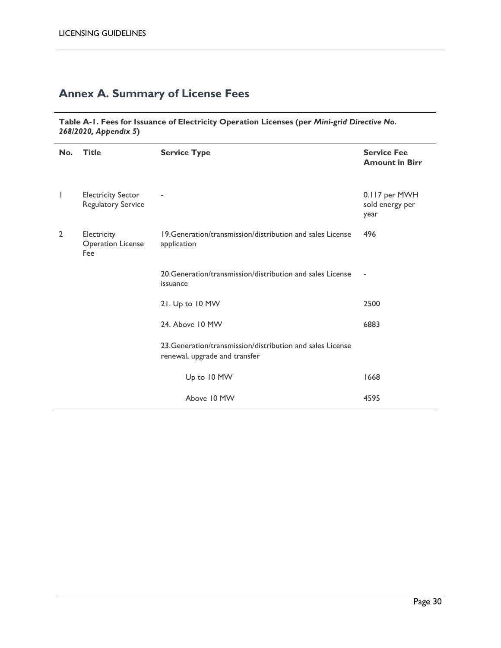## <span id="page-29-0"></span>**Annex A. Summary of License Fees**

**Table A-1. Fees for Issuance of Electricity Operation Licenses (per** *Mini-grid Directive No. 268/2020, Appendix 5***)**

| No.            | <b>Title</b>                                    | <b>Service Type</b>                                                                         | <b>Service Fee</b><br><b>Amount in Birr</b> |
|----------------|-------------------------------------------------|---------------------------------------------------------------------------------------------|---------------------------------------------|
| L              | <b>Electricity Sector</b><br>Regulatory Service |                                                                                             | 0.117 per MWH<br>sold energy per<br>year    |
| $\overline{2}$ | Electricity<br><b>Operation License</b><br>Fee  | 19. Generation/transmission/distribution and sales License<br>application                   | 496                                         |
|                |                                                 | 20. Generation/transmission/distribution and sales License<br>issuance                      | $\overline{\phantom{a}}$                    |
|                |                                                 | 21. Up to 10 MW                                                                             | 2500                                        |
|                |                                                 | 24. Above 10 MW                                                                             | 6883                                        |
|                |                                                 | 23. Generation/transmission/distribution and sales License<br>renewal, upgrade and transfer |                                             |
|                |                                                 | Up to 10 MW                                                                                 | 1668                                        |
|                |                                                 | Above 10 MW                                                                                 | 4595                                        |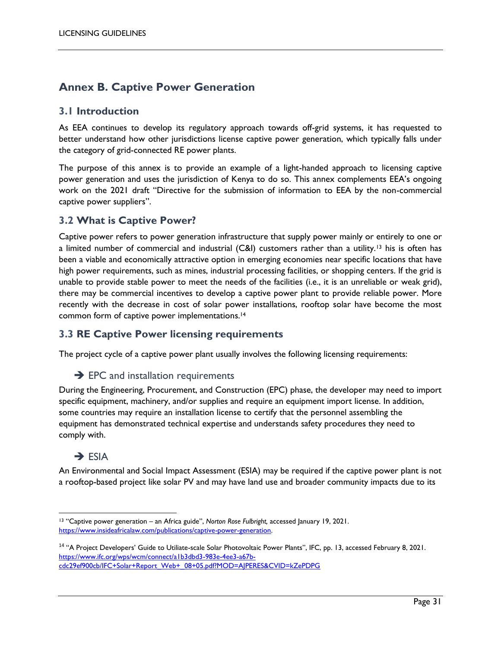### <span id="page-30-0"></span>**Annex B. Captive Power Generation**

#### **3.1 Introduction**

As EEA continues to develop its regulatory approach towards off-grid systems, it has requested to better understand how other jurisdictions license captive power generation, which typically falls under the category of grid-connected RE power plants.

The purpose of this annex is to provide an example of a light-handed approach to licensing captive power generation and uses the jurisdiction of Kenya to do so. This annex complements EEA's ongoing work on the 2021 draft "Directive for the submission of information to EEA by the non-commercial captive power suppliers".

#### **3.2 What is Captive Power?**

Captive power refers to power generation infrastructure that supply power mainly or entirely to one or a limited number of commercial and industrial (C&I) customers rather than a utility.<sup>13</sup> his is often has been a viable and economically attractive option in emerging economies near specific locations that have high power requirements, such as mines, industrial processing facilities, or shopping centers. If the grid is unable to provide stable power to meet the needs of the facilities (i.e., it is an unreliable or weak grid), there may be commercial incentives to develop a captive power plant to provide reliable power. More recently with the decrease in cost of solar power installations, rooftop solar have become the most common form of captive power implementations.<sup>14</sup>

#### **3.3 RE Captive Power licensing requirements**

The project cycle of a captive power plant usually involves the following licensing requirements:

 $\rightarrow$  EPC and installation requirements

During the Engineering, Procurement, and Construction (EPC) phase, the developer may need to import specific equipment, machinery, and/or supplies and require an equipment import license. In addition, some countries may require an installation license to certify that the personnel assembling the equipment has demonstrated technical expertise and understands safety procedures they need to comply with.

#### $\rightarrow$  FSIA

An Environmental and Social Impact Assessment (ESIA) may be required if the captive power plant is not a rooftop-based project like solar PV and may have land use and broader community impacts due to its

 $\overline{a}$ <sup>13</sup> "Captive power generation – an Africa guide", *Norton Rose Fulbright,* accessed January 19, 2021. [https://www.insideafricalaw.com/publications/captive-power-generation.](https://www.insideafricalaw.com/publications/captive-power-generation) 

<sup>&</sup>lt;sup>14</sup> "A Project Developers' Guide to Utiliate-scale Solar Photovoltaic Power Plants", IFC, pp. 13, accessed February 8, 2021. [https://www.ifc.org/wps/wcm/connect/a1b3dbd3-983e-4ee3-a67b](https://www.ifc.org/wps/wcm/connect/a1b3dbd3-983e-4ee3-a67b-cdc29ef900cb/IFC+Solar+Report_Web+_08+05.pdf?MOD=AJPERES&CVID=kZePDPG)[cdc29ef900cb/IFC+Solar+Report\\_Web+\\_08+05.pdf?MOD=AJPERES&CVID=kZePDPG](https://www.ifc.org/wps/wcm/connect/a1b3dbd3-983e-4ee3-a67b-cdc29ef900cb/IFC+Solar+Report_Web+_08+05.pdf?MOD=AJPERES&CVID=kZePDPG)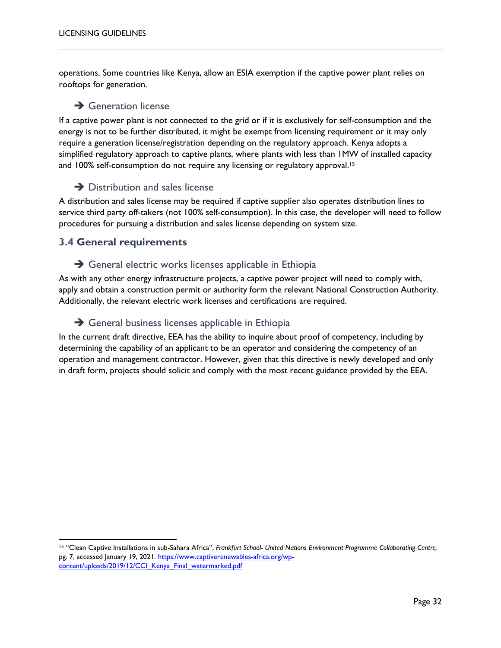operations. Some countries like Kenya, allow an ESIA exemption if the captive power plant relies on rooftops for generation.

#### $\rightarrow$  Generation license

If a captive power plant is not connected to the grid or if it is exclusively for self-consumption and the energy is not to be further distributed, it might be exempt from licensing requirement or it may only require a generation license/registration depending on the regulatory approach. Kenya adopts a simplified regulatory approach to captive plants, where plants with less than 1MW of installed capacity and 100% self-consumption do not require any licensing or regulatory approval.<sup>15</sup>

#### $\rightarrow$  Distribution and sales license

A distribution and sales license may be required if captive supplier also operates distribution lines to service third party off-takers (not 100% self-consumption). In this case, the developer will need to follow procedures for pursuing a distribution and sales license depending on system size.

#### **3.4 General requirements**

#### $\rightarrow$  General electric works licenses applicable in Ethiopia

As with any other energy infrastructure projects, a captive power project will need to comply with, apply and obtain a construction permit or authority form the relevant National Construction Authority. Additionally, the relevant electric work licenses and certifications are required.

#### $\rightarrow$  General business licenses applicable in Ethiopia

In the current draft directive, EEA has the ability to inquire about proof of competency, including by determining the capability of an applicant to be an operator and considering the competency of an operation and management contractor. However, given that this directive is newly developed and only in draft form, projects should solicit and comply with the most recent guidance provided by the EEA.

 $\overline{a}$ <sup>15</sup> "Clean Captive Installations in sub-Sahara Africa", *Frankfurt School- United Nations Environment Programme Collaborating Centre,*  pg. 7, accessed January 19, 2021. [https://www.captiverenewables-africa.org/wp](https://www.captiverenewables-africa.org/wp-content/uploads/2019/12/CCI_Kenya_Final_watermarked.pdf)[content/uploads/2019/12/CCI\\_Kenya\\_Final\\_watermarked.pdf](https://www.captiverenewables-africa.org/wp-content/uploads/2019/12/CCI_Kenya_Final_watermarked.pdf)